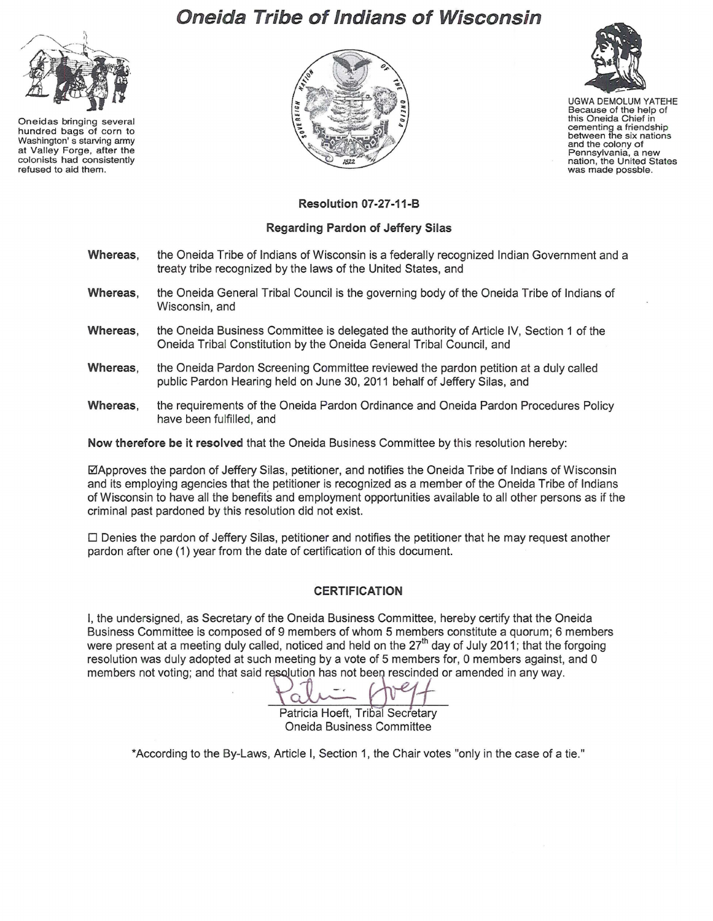## **Oneida Tribe of Indians of Wisconsin**



Oneidas bringing several hundred bags of corn to Washington' s starving army at Valley Forge, after the colonists had consistently refused to aid them.





UGWA DEMOLUM YATEHE Because of the help of this Oneida Chief in cementing a friendship between the six nations and the colony of Pennsylvania, a new nation, the United States was made possble.

## **Resolution 07-27 -11-B**

## **Regarding Pardon of Jeffery Silas**

- **Whereas,** the Oneida Tribe of Indians of Wisconsin is a federally recognized Indian Government and a treaty tribe recognized by the laws of the United States, and
- **Whereas,** the Oneida General Tribal Council is the governing body of the Oneida Tribe of Indians of Wisconsin, and
- **Whereas,** the Oneida Business Committee is delegated the authority of Article IV, Section 1 of the Oneida Tribal Constitution by the Oneida General Tribal Council, and
- **Whereas,** the Oneida Pardon Screening Committee reviewed the pardon petition at a duly called public Pardon Hearing held on June 30, 2011 behalf of Jeffery Silas, and
- **Whereas,** the requirements of the Oneida Pardon Ordinance and Oneida Pardon Procedures Policy have been fulfilled, and

**Now therefore be it resolved** that the Oneida Business Committee by this resolution hereby:

0Approves the pardon of Jeffery Silas, petitioner, and notifies the Oneida Tribe of Indians of Wisconsin and its employing agencies that the petitioner is recognized as a member of the Oneida Tribe of Indians of Wisconsin to have all the benefits and employment opportunities available to all other persons as if the criminal past pardoned by this resolution did not exist.

 $\Box$  Denies the pardon of Jeffery Silas, petitioner and notifies the petitioner that he may request another pardon after one (1) year from the date of certification of this document.

## **CERTIFICATION**

I, the undersigned, as Secretary of the Oneida Business Committee, hereby certify that the Oneida Business Committee is composed of 9 members of whom 5 members constitute a quorum; 6 members were present at a meeting duly called, noticed and held on the 27<sup>th</sup> day of July 2011; that the forgoing resolution was duly adopted at such meeting by a vote of 5 members for, 0 members against, and 0<br>
members not voting; and that said resolution has not been rescinded or amended in any way.<br>
Patricia Hoeft, Tribal Secretary members not voting; and that said resolution has not been rescinded or amended in any way.

Patricia Hoeft, Tribal Secretary Oneida Business Committee

\*According to the By-Laws, Article I, Section 1, the Chair votes "only in the case of a tie."